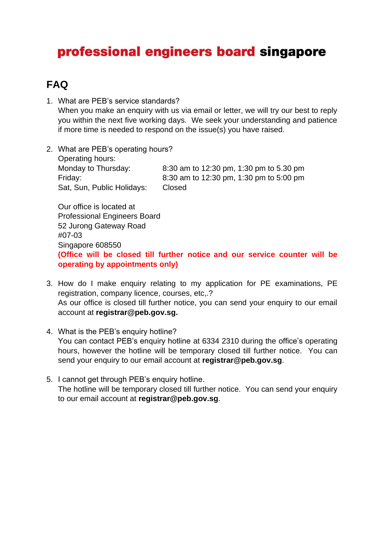## professional engineers board singapore

## **FAQ**

- 1. What are PEB's service standards? When you make an enquiry with us via email or letter, we will try our best to reply you within the next five working days. We seek your understanding and patience if more time is needed to respond on the issue(s) you have raised.
- 2. What are PEB's operating hours? Operating hours: Monday to Thursday: 8:30 am to 12:30 pm, 1:30 pm to 5.30 pm Friday: 8:30 am to 12:30 pm, 1:30 pm to 5:00 pm Sat, Sun, Public Holidays: Closed

Our office is located at Professional Engineers Board 52 Jurong Gateway Road #07-03 Singapore 608550 **(Office will be closed till further notice and our service counter will be operating by appointments only)**

- 3. How do I make enquiry relating to my application for PE examinations, PE registration, company licence, courses, etc,.? As our office is closed till further notice, you can send your enquiry to our email account at **registrar@peb.gov.sg.**
- 4. What is the PEB's enquiry hotline? You can contact PEB's enquiry hotline at 6334 2310 during the office's operating hours, however the hotline will be temporary closed till further notice. You can send your enquiry to our email account at **registrar@peb.gov.sg**.
- 5. I cannot get through PEB's enquiry hotline. The hotline will be temporary closed till further notice. You can send your enquiry to our email account at **[registrar@peb.gov.sg](mailto:registrar@peb.gov.sg)**.